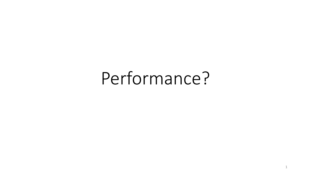# Performance?

1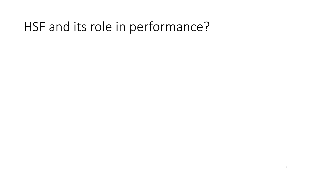#### HSF and its role in performance?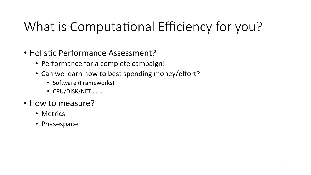## What is Computational Efficiency for you?

- Holistic Performance Assessment?
	- Performance for a complete campaign!
	- Can we learn how to best spending money/effort?
		- Software (Frameworks)
		- CPU/DISK/NET ......
- How to measure?
	- Metrics
	- Phasespace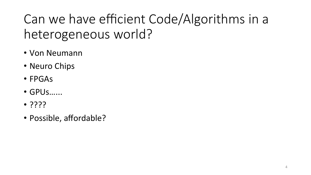#### Can we have efficient Code/Algorithms in a heterogeneous world?

- Von Neumann
- Neuro Chips
- FPGAs
- GPUs…...
- ????
- Possible, affordable?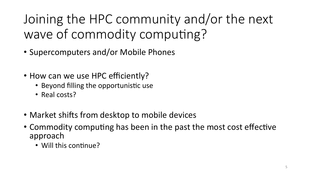Joining the HPC community and/or the next wave of commodity computing?

- Supercomputers and/or Mobile Phones
- How can we use HPC efficiently?
	- Beyond filling the opportunistic use
	- Real costs?
- Market shifts from desktop to mobile devices
- Commodity computing has been in the past the most cost effective approach
	- Will this continue?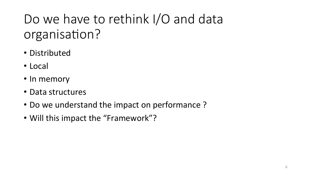### Do we have to rethink I/O and data organisation?

- Distributed
- Local
- In memory
- Data structures
- Do we understand the impact on performance?
- Will this impact the "Framework"?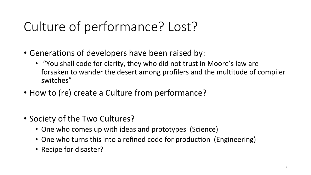### Culture of performance? Lost?

- Generations of developers have been raised by:
	- "You shall code for clarity, they who did not trust in Moore's law are forsaken to wander the desert among profilers and the multitude of compiler switches"
- How to (re) create a Culture from performance?
- Society of the Two Cultures?
	- One who comes up with ideas and prototypes (Science)
	- One who turns this into a refined code for production (Engineering)
	- Recipe for disaster?